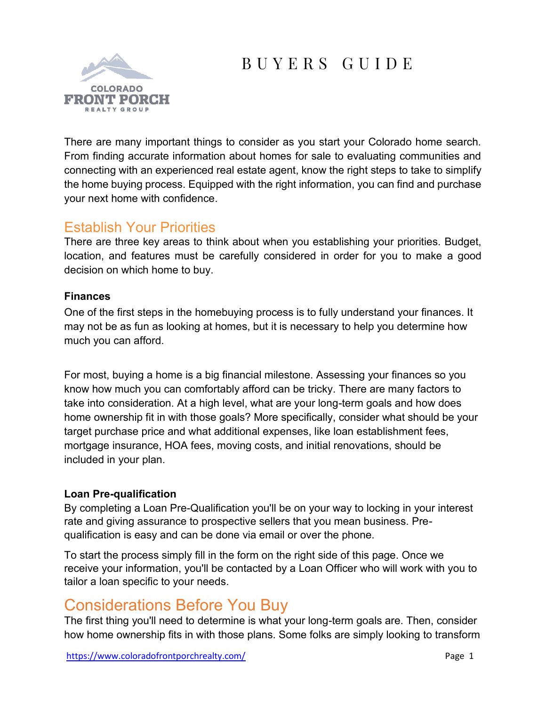# B U Y E R S G U I D E



There are many important things to consider as you start your Colorado home search. From finding accurate information about homes for sale to evaluating communities and connecting with an experienced real estate agent, know the right steps to take to simplify the home buying process. Equipped with the right information, you can find and purchase your next home with confidence.

# Establish Your Priorities

There are three key areas to think about when you establishing your priorities. Budget, location, and features must be carefully considered in order for you to make a good decision on which home to buy.

#### **Finances**

One of the first steps in the homebuying process is to fully understand your finances. It may not be as fun as looking at homes, but it is necessary to help you determine how much you can afford.

For most, buying a home is a big financial milestone. Assessing your finances so you know how much you can comfortably afford can be tricky. There are many factors to take into consideration. At a high level, what are your long-term goals and how does home ownership fit in with those goals? More specifically, consider what should be your target purchase price and what additional expenses, like loan establishment fees, mortgage insurance, HOA fees, moving costs, and initial renovations, should be included in your plan.

#### **Loan Pre-qualification**

By completing a Loan Pre-Qualification you'll be on your way to locking in your interest rate and giving assurance to prospective sellers that you mean business. Prequalification is easy and can be done via email or over the phone.

To start the process simply fill in the form on the right side of this page. Once we receive your information, you'll be contacted by a Loan Officer who will work with you to tailor a loan specific to your needs.

# Considerations Before You Buy

The first thing you'll need to determine is what your long-term goals are. Then, consider how home ownership fits in with those plans. Some folks are simply looking to transform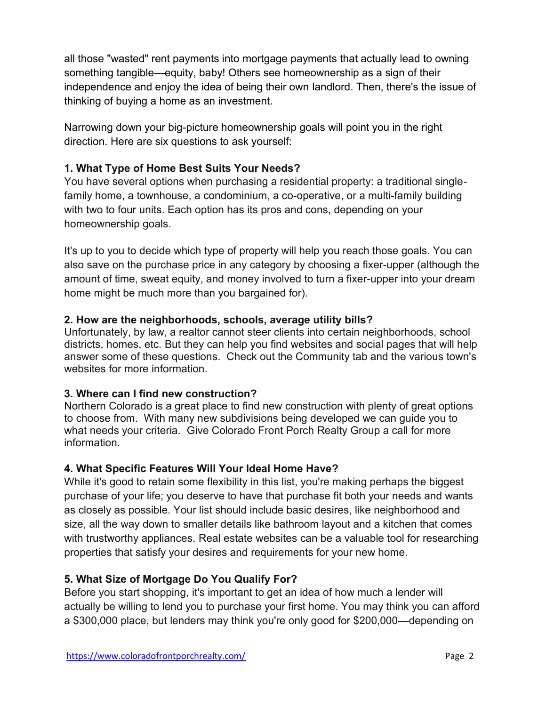all those "wasted" rent payments into mortgage payments that actually lead to owning something tangible—equity, baby! Others see homeownership as a sign of their independence and enjoy the idea of being their own landlord. Then, there's the issue of thinking of buying a home as an investment.

Narrowing down your big-picture homeownership goals will point you in the right direction. Here are six questions to ask yourself:

#### **1. What Type of Home Best Suits Your Needs?**

You have several options when purchasing a residential property: a traditional singlefamily home, a townhouse, a condominium, a co-operative, or a multi-family building with two to four units. Each option has its pros and cons, depending on your homeownership goals.

It's up to you to decide which type of property will help you reach those goals. You can also save on the purchase price in any category by choosing a fixer-upper (although the amount of time, sweat equity, and money involved to turn a fixer-upper into your dream home might be much more than you bargained for).

#### **2. How are the neighborhoods, schools, average utility bills?**

Unfortunately, by law, a realtor cannot steer clients into certain neighborhoods, school districts, homes, etc. But they can help you find websites and social pages that will help answer some of these questions. Check out the Community tab and the various town's websites for more information.

#### **3. Where can I find new construction?**

Northern Colorado is a great place to find new construction with plenty of great options to choose from. With many new subdivisions being developed we can guide you to what needs your criteria. Give Colorado Front Porch Realty Group a call for more information.

#### **4. What Specific Features Will Your Ideal Home Have?**

While it's good to retain some flexibility in this list, you're making perhaps the biggest purchase of your life; you deserve to have that purchase fit both your needs and wants as closely as possible. Your list should include basic desires, like neighborhood and size, all the way down to smaller details like bathroom layout and a kitchen that comes with trustworthy appliances. Real estate websites can be a valuable tool for researching properties that satisfy your desires and requirements for your new home.

#### **5. What Size of Mortgage Do You Qualify For?**

Before you start shopping, it's important to get an idea of how much a lender will actually be willing to lend you to purchase your first home. You may think you can afford a \$300,000 place, but lenders may think you're only good for \$200,000—depending on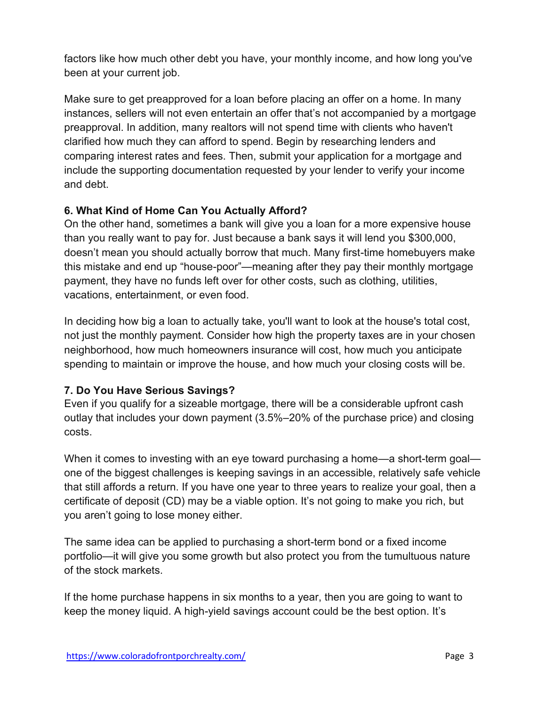factors like how much other debt you have, your monthly income, and how long you've been at your current job.

Make sure to get preapproved for a loan before placing an offer on a home. In many instances, sellers will not even entertain an offer that's not accompanied by a mortgage preapproval. In addition, many realtors will not spend time with clients who haven't clarified how much they can afford to spend. Begin by researching lenders and comparing interest rates and fees. Then, submit your application for a mortgage and include the supporting documentation requested by your lender to verify your income and debt.

#### **6. What Kind of Home Can You Actually Afford?**

On the other hand, sometimes a bank will give you a loan for a more expensive house than you really want to pay for. Just because a bank says it will lend you \$300,000, doesn't mean you should actually borrow that much. Many first-time homebuyers make this mistake and end up "house-poor"—meaning after they pay their monthly mortgage payment, they have no funds left over for other costs, such as clothing, utilities, vacations, entertainment, or even food.

In deciding how big a loan to actually take, you'll want to look at the house's total cost, not just the monthly payment. Consider how high the property taxes are in your chosen neighborhood, how much homeowners insurance will cost, how much you anticipate spending to maintain or improve the house, and how much your closing costs will be.

### **7. Do You Have Serious Savings?**

Even if you qualify for a sizeable mortgage, there will be a considerable upfront cash outlay that includes your down payment (3.5%–20% of the purchase price) and closing costs.

When it comes to investing with an eye toward purchasing a home—a short-term goal one of the biggest challenges is keeping savings in an accessible, relatively safe vehicle that still affords a return. If you have one year to three years to realize your goal, then a certificate of deposit (CD) may be a viable option. It's not going to make you rich, but you aren't going to lose money either.

The same idea can be applied to purchasing a short-term bond or a fixed income portfolio—it will give you some growth but also protect you from the tumultuous nature of the stock markets.

If the home purchase happens in six months to a year, then you are going to want to keep the money liquid. A high-yield savings account could be the best option. It's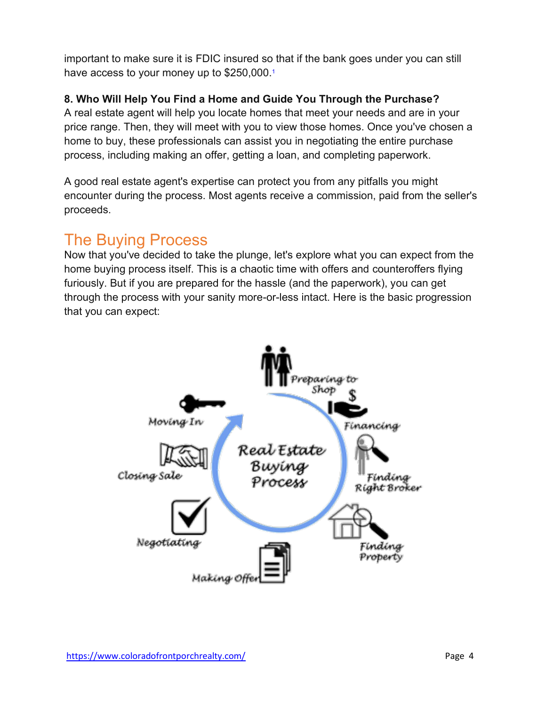important to make sure it is FDIC insured so that if the bank goes under you can still have access to your money up to \$250,000.1

### **8. Who Will Help You Find a Home and Guide You Through the Purchase?**

A real estate agent will help you locate homes that meet your needs and are in your price range. Then, they will meet with you to view those homes. Once you've chosen a home to buy, these professionals can assist you in negotiating the entire purchase process, including making an offer, getting a loan, and completing paperwork.

A good real estate agent's expertise can protect you from any pitfalls you might encounter during the process. Most agents receive a commission, paid from the seller's proceeds.

# The Buying Process

Now that you've decided to take the plunge, let's explore what you can expect from the home buying process itself. This is a chaotic time with offers and counteroffers flying furiously. But if you are prepared for the hassle (and the paperwork), you can get through the process with your sanity more-or-less intact. Here is the basic progression that you can expect:

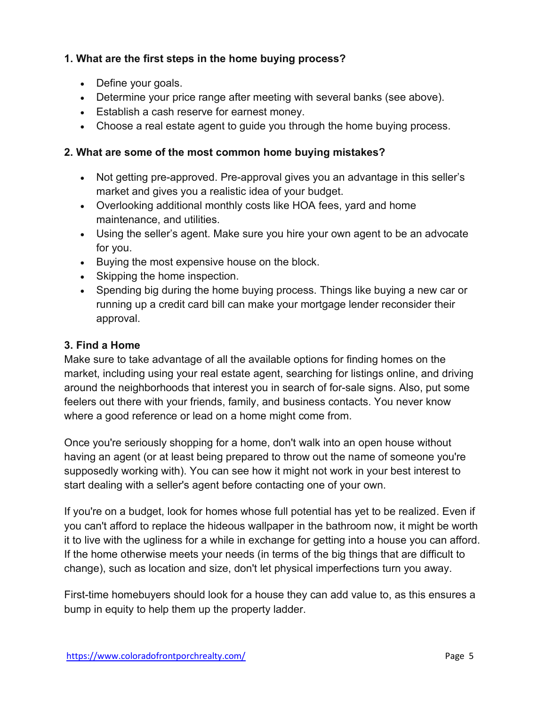#### **1. What are the first steps in the home buying process?**

- Define your goals.
- Determine your price range after meeting with several banks (see above).
- Establish a cash reserve for earnest money.
- Choose a real estate agent to guide you through the home buying process.

#### **2. What are some of the most common home buying mistakes?**

- Not getting pre-approved. Pre-approval gives you an advantage in this seller's market and gives you a realistic idea of your budget.
- Overlooking additional monthly costs like HOA fees, yard and home maintenance, and utilities.
- Using the seller's agent. Make sure you hire your own agent to be an advocate for you.
- Buying the most expensive house on the block.
- Skipping the home inspection.
- Spending big during the home buying process. Things like buying a new car or running up a credit card bill can make your mortgage lender reconsider their approval.

#### **3. Find a Home**

Make sure to take advantage of all the available options for finding homes on the market, including using your real estate agent, searching for listings online, and driving around the neighborhoods that interest you in search of for-sale signs. Also, put some feelers out there with your friends, family, and business contacts. You never know where a good reference or lead on a home might come from.

Once you're seriously shopping for a home, don't walk into an open house without having an agent (or at least being prepared to throw out the name of someone you're supposedly working with). You can see how it might not work in your best interest to start dealing with a seller's agent before contacting one of your own.

If you're on a budget, look for homes whose full potential has yet to be realized. Even if you can't afford to replace the hideous wallpaper in the bathroom now, it might be worth it to live with the ugliness for a while in exchange for getting into a house you can afford. If the home otherwise meets your needs (in terms of the big things that are difficult to change), such as location and size, don't let physical imperfections turn you away.

First-time homebuyers should look for a house they can add value to, as this ensures a bump in equity to help them up the property ladder.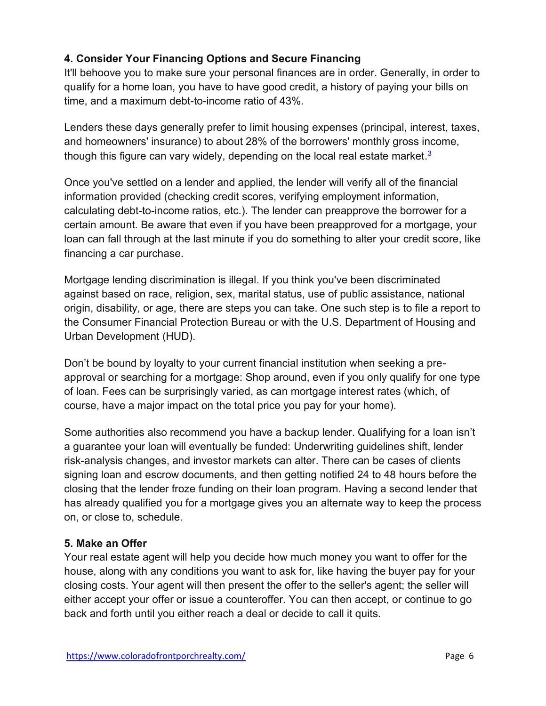## **4. Consider Your Financing Options and Secure Financing**

It'll behoove you to make sure your personal finances are in order. Generally, in order to qualify for a home loan, you have to have good credit, a history of paying your bills on time, and a maximum debt-to-income ratio of 43%.

Lenders these days generally prefer to limit housing expenses (principal, interest, taxes, and homeowners' insurance) to about 28% of the borrowers' monthly gross income, though this figure can vary widely, depending on the local real estate market.<sup>3</sup>

Once you've settled on a lender and applied, the lender will verify all of the financial information provided (checking credit scores, verifying employment information, calculating debt-to-income ratios, etc.). The lender can preapprove the borrower for a certain amount. Be aware that even if you have been preapproved for a mortgage, your loan can fall through at the last minute if you do something to alter your credit score, like financing a car purchase.

Mortgage lending discrimination is illegal. If you think you've been discriminated against based on race, religion, sex, marital status, use of public assistance, national origin, disability, or age, there are steps you can take. One such step is to file a report to the Consumer Financial Protection Bureau or with the U.S. Department of Housing and Urban Development (HUD).

Don't be bound by loyalty to your current financial institution when seeking a preapproval or searching for a mortgage: Shop around, even if you only qualify for one type of loan. Fees can be surprisingly varied, as can mortgage interest rates (which, of course, have a major impact on the total price you pay for your home).

Some authorities also recommend you have a backup lender. Qualifying for a loan isn't a guarantee your loan will eventually be funded: Underwriting guidelines shift, lender risk-analysis changes, and investor markets can alter. There can be cases of clients signing loan and escrow documents, and then getting notified 24 to 48 hours before the closing that the lender froze funding on their loan program. Having a second lender that has already qualified you for a mortgage gives you an alternate way to keep the process on, or close to, schedule.

#### **5. Make an Offer**

Your real estate agent will help you decide how much money you want to offer for the house, along with any conditions you want to ask for, like having the buyer pay for your closing costs. Your agent will then present the offer to the seller's agent; the seller will either accept your offer or issue a counteroffer. You can then accept, or continue to go back and forth until you either reach a deal or decide to call it quits.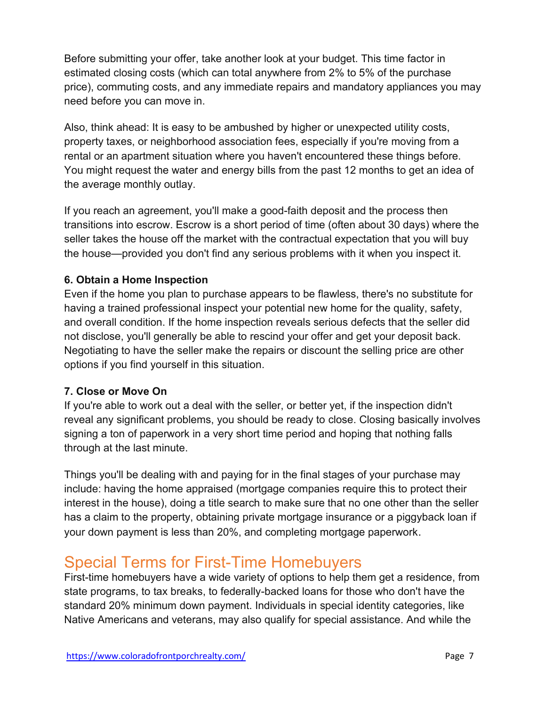Before submitting your offer, take another look at your budget. This time factor in estimated closing costs (which can total anywhere from 2% to 5% of the purchase price), commuting costs, and any immediate repairs and mandatory appliances you may need before you can move in.

Also, think ahead: It is easy to be ambushed by higher or unexpected utility costs, property taxes, or neighborhood association fees, especially if you're moving from a rental or an apartment situation where you haven't encountered these things before. You might request the water and energy bills from the past 12 months to get an idea of the average monthly outlay.

If you reach an agreement, you'll make a good-faith deposit and the process then transitions into escrow. Escrow is a short period of time (often about 30 days) where the seller takes the house off the market with the contractual expectation that you will buy the house—provided you don't find any serious problems with it when you inspect it.

#### **6. Obtain a Home Inspection**

Even if the home you plan to purchase appears to be flawless, there's no substitute for having a trained professional inspect your potential new home for the quality, safety, and overall condition. If the home inspection reveals serious defects that the seller did not disclose, you'll generally be able to rescind your offer and get your deposit back. Negotiating to have the seller make the repairs or discount the selling price are other options if you find yourself in this situation.

#### **7. Close or Move On**

If you're able to work out a deal with the seller, or better yet, if the inspection didn't reveal any significant problems, you should be ready to close. Closing basically involves signing a ton of paperwork in a very short time period and hoping that nothing falls through at the last minute.

Things you'll be dealing with and paying for in the final stages of your purchase may include: having the home appraised (mortgage companies require this to protect their interest in the house), doing a title search to make sure that no one other than the seller has a claim to the property, obtaining private mortgage insurance or a piggyback loan if your down payment is less than 20%, and completing mortgage paperwork.

# Special Terms for First-Time Homebuyers

First-time homebuyers have a wide variety of options to help them get a residence, from state programs, to tax breaks, to federally-backed loans for those who don't have the standard 20% minimum down payment. Individuals in special identity categories, like Native Americans and veterans, may also qualify for special assistance. And while the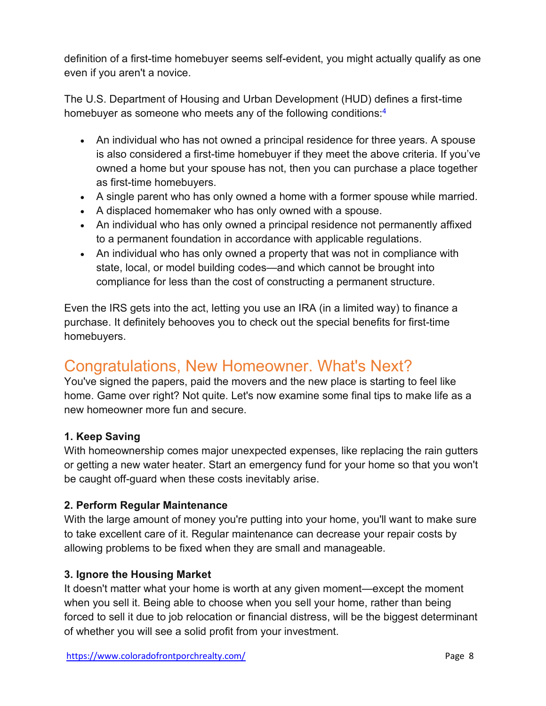definition of a first-time homebuyer seems self-evident, you might actually qualify as one even if you aren't a novice.

The U.S. Department of Housing and Urban Development (HUD) defines a first-time homebuyer as someone who meets any of the following conditions: 4

- An individual who has not owned a principal residence for three years. A spouse is also considered a first-time homebuyer if they meet the above criteria. If you've owned a home but your spouse has not, then you can purchase a place together as first-time homebuyers.
- A single parent who has only owned a home with a former spouse while married.
- A displaced homemaker who has only owned with a spouse.
- An individual who has only owned a principal residence not permanently affixed to a permanent foundation in accordance with applicable regulations.
- An individual who has only owned a property that was not in compliance with state, local, or model building codes—and which cannot be brought into compliance for less than the cost of constructing a permanent structure.

Even the IRS gets into the act, letting you use an IRA (in a limited way) to finance a purchase. It definitely behooves you to check out the special benefits for first-time homebuyers.

# Congratulations, New Homeowner. What's Next?

You've signed the papers, paid the movers and the new place is starting to feel like home. Game over right? Not quite. Let's now examine some final tips to make life as a new homeowner more fun and secure.

### **1. Keep Saving**

With homeownership comes major unexpected expenses, like replacing the rain gutters or getting a new water heater. Start an emergency fund for your home so that you won't be caught off-guard when these costs inevitably arise.

### **2. Perform Regular Maintenance**

With the large amount of money you're putting into your home, you'll want to make sure to take excellent care of it. Regular maintenance can decrease your repair costs by allowing problems to be fixed when they are small and manageable.

### **3. Ignore the Housing Market**

It doesn't matter what your home is worth at any given moment—except the moment when you sell it. Being able to choose when you sell your home, rather than being forced to sell it due to job relocation or financial distress, will be the biggest determinant of whether you will see a solid profit from your investment.